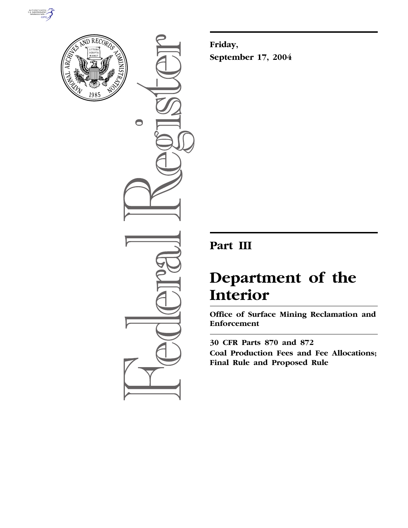



 $\bigcirc$ 

**Friday, September 17, 2004**

# **Part III**

# **Department of the Interior**

**Office of Surface Mining Reclamation and Enforcement** 

**30 CFR Parts 870 and 872 Coal Production Fees and Fee Allocations; Final Rule and Proposed Rule**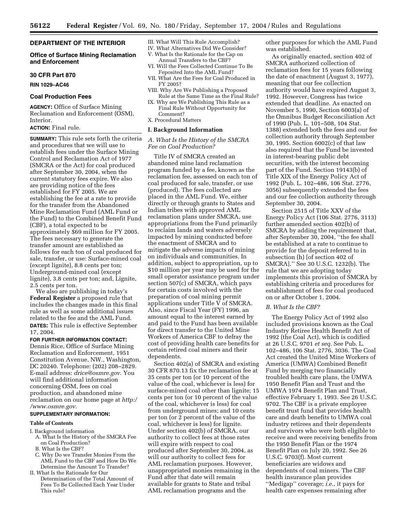#### **DEPARTMENT OF THE INTERIOR**

#### **Office of Surface Mining Reclamation and Enforcement**

#### **30 CFR Part 870**

**RIN 1029–AC46** 

#### **Coal Production Fees**

**AGENCY:** Office of Surface Mining Reclamation and Enforcement (OSM), Interior.

# **ACTION:** Final rule.

**SUMMARY:** This rule sets forth the criteria and procedures that we will use to establish fees under the Surface Mining Control and Reclamation Act of 1977 (SMCRA or the Act) for coal produced after September 30, 2004, when the current statutory fees expire. We also are providing notice of the fees established for FY 2005. We are establishing the fee at a rate to provide for the transfer from the Abandoned Mine Reclamation Fund (AML Fund or the Fund) to the Combined Benefit Fund (CBF), a total expected to be approximately \$69 million for FY 2005. The fees necessary to generate the transfer amount are established as follows for each ton of coal produced for sale, transfer, or use: Surface-mined coal (except lignite), 8.8 cents per ton; Underground-mined coal (except lignite), 3.8 cents per ton; and, Lignite, 2.5 cents per ton.

We also are publishing in today's **Federal Register** a proposed rule that includes the changes made in this final rule as well as some additional issues related to the fee and the AML Fund. **DATES:** This rule is effective September 17, 2004.

#### **FOR FURTHER INFORMATION CONTACT:**

Dennis Rice, Office of Surface Mining Reclamation and Enforcement, 1951 Constitution Avenue, NW., Washington, DC 20240. Telephone: (202) 208–2829. E-mail address: *drice@osmre.gov*. You will find additional information concerning OSM, fees on coal production, and abandoned mine reclamation on our home page at *http:/ /www.osmre.gov*.

#### **SUPPLEMENTARY INFORMATION:**

#### **Table of Contents**

I. Background information

- A. What Is the History of the SMCRA Fee on Coal Production?
- B. What Is the CBF?
- C. Why Do we Transfer Monies From the AML Fund to the CBF and How Do We Determine the Amount To Transfer?
- II. What Is the Rationale for Our
- Determination of the Total Amount of Fees To Be Collected Each Year Under This rule?

#### III. What Will This Rule Accomplish?

- IV. What Alternatives Did We Consider?
- V. What Is the Rationale for the Cap on Annual Transfers to the CBF?
- VI. Will the Fees Collected Continue To Be Feposited Into the AML Fund?
- VII. What Are the Fees for Coal Produced in FY 2005?
- VIII. Why Are We Publishing a Proposed Rule at the Same Time as the Final Rule?
- IX. Why are We Publishing This Rule as a Final Rule Without Opportunity for Comment?
- X. Procedural Matters

#### **I. Background Information**

#### *A. What Is the History of the SMCRA Fee on Coal Production?*

Title IV of SMCRA created an abandoned mine land reclamation program funded by a fee, known as the reclamation fee, assessed on each ton of coal produced for sale, transfer, or use (produced). The fees collected are placed in the AML Fund. We, either directly or through grants to States and Indian tribes with approved AML reclamation plans under SMCRA, use appropriations from the Fund primarily to reclaim lands and waters adversely impacted by mining conducted before the enactment of SMCRA and to mitigate the adverse impacts of mining on individuals and communities. In addition, subject to appropriation, up to \$10 million per year may be used for the small operator assistance program under section 507(c) of SMCRA, which pays for certain costs involved with the preparation of coal mining permit applications under Title V of SMCRA. Also, since Fiscal Year (FY) 1996, an amount equal to the interest earned by and paid to the Fund has been available for direct transfer to the United Mine Workers of America CBF to defray the cost of providing health care benefits for certain retired coal miners and their dependents.

Section 402(a) of SMCRA and existing 30 CFR 870.13 fix the reclamation fee at 35 cents per ton (or 10 percent of the value of the coal, whichever is less) for surface-mined coal other than lignite; 15 cents per ton (or 10 percent of the value of the coal, whichever is less) for coal from underground mines; and 10 cents per ton (or 2 percent of the value of the coal, whichever is less) for lignite. Under section 402(b) of SMCRA, our authority to collect fees at those rates will expire with respect to coal produced after September 30, 2004, as will our authority to collect fees for AML reclamation purposes. However, unappropriated monies remaining in the Fund after that date will remain available for grants to State and tribal AML reclamation programs and the

other purposes for which the AML Fund was established.

As originally enacted, section 402 of SMCRA authorized collection of reclamation fees for 15 years following the date of enactment (August 3, 1977), meaning that our fee collection authority would have expired August 3, 1992. However, Congress has twice extended that deadline. As enacted on November 5, 1990, Section 6003(a) of the Omnibus Budget Reconciliation Act of 1990 (Pub. L. 101–508, 104 Stat. 1388) extended both the fees and our fee collection authority through September 30, 1995. Section 6002(c) of that law also required that the Fund be invested in interest-bearing public debt securities, with the interest becoming part of the Fund. Section 19143(b) of Title XIX of the Energy Policy Act of 1992 (Pub. L. 102–486, 106 Stat. 2776, 3056) subsequently extended the fees and our fee collection authority through September 30, 2004.

Section 2515 of Title XXV of the Energy Policy Act (106 Stat. 2776, 3113) further amended section 402(b) of SMCRA by adding the requirement that, after September 30, 2004, ''the fee shall be established at a rate to continue to provide for the deposit referred to in subsection (h) [of section 402 of SMCRA].'' See 30 U.S.C. 1232(b). The rule that we are adopting today implements this provision of SMCRA by establishing criteria and procedures for establishment of fees for coal produced on or after October 1, 2004.

#### *B. What Is the CBF?*

The Energy Policy Act of 1992 also included provisions known as the Coal Industry Retiree Health Benefit Act of 1992 (the Coal Act), which is codified at 26 U.S.C. 9701 *et seq.* See Pub. L. 102–486, 106 Stat. 2776, 3036. The Coal Act created the United Mine Workers of America (UMWA) Combined Benefit Fund by merging two financially troubled health care plans, the UMWA 1950 Benefit Plan and Trust and the UMWA 1974 Benefit Plan and Trust, effective February 1, 1993. See 26 U.S.C. 9702. The CBF is a private employee benefit trust fund that provides health care and death benefits to UMWA coal industry retirees and their dependents and survivors who were both eligible to receive and were receiving benefits from the 1950 Benefit Plan or the 1974 Benefit Plan on July 20, 1992. See 26 U.S.C. 9703(f). Most current beneficiaries are widows and dependents of coal miners. The CBF health insurance plan provides ''Medigap'' coverage; *i.e.*, it pays for health care expenses remaining after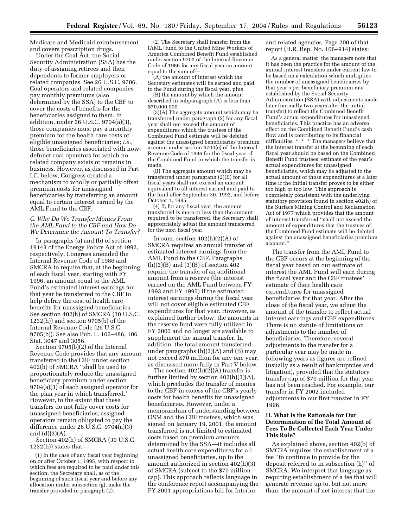Medicare and Medicaid reimbursement and covers prescription drugs.

Under the Coal Act, the Social Security Administration (SSA) has the duty of assigning retirees and their dependents to former employers or related companies. See 26 U.S.C. 9706. Coal operators and related companies pay monthly premiums (also determined by the SSA) to the CBF to cover the costs of benefits for the beneficiaries assigned to them. In addition, under 26 U.S.C. 9704(a)(3), those companies must pay a monthly premium for the health care costs of eligible unassigned beneficiaries; *i.e.*, those beneficiaries associated with nowdefunct coal operators for which no related company exists or remains in business. However, as discussed in Part I.C. below, Congress created a mechanism to wholly or partially offset premium costs for unassigned beneficiaries by transferring an amount equal to certain interest earned by the AML Fund to the CBF.

#### *C. Why Do We Transfer Monies From the AML Fund to the CBF and How Do We Determine the Amount To Transfer?*

In paragraphs (a) and (b) of section 19143 of the Energy Policy Act of 1992, respectively, Congress amended the Internal Revenue Code of 1986 and SMCRA to require that, at the beginning of each fiscal year, starting with FY 1996, an amount equal to the AML Fund's estimated interest earnings for that year be transferred to the CBF to help defray the cost of health care benefits for unassigned beneficiaries. See section 402(h) of SMCRA (30 U.S.C. 1232(h)) and section 9705(b) of the Internal Revenue Code (26 U.S.C. 9705(b)). See also Pub. L. 102–486, 106 Stat. 3047 and 3056.

Section 9705(b)(2) of the Internal Revenue Code provides that any amount transferred to the CBF under section 402(h) of SMCRA ''shall be used to proportionately reduce the unassigned beneficiary premium under section 9704(a)(3) of each assigned operator for the plan year in which transferred.'' However, to the extent that these transfers do not fully cover costs for unassigned beneficiaries, assigned operators remain obligated to pay the difference under 26 U.S.C. 9704(a)(3) and (d)(3)(A).

Section 402(h) of SMCRA (30 U.S.C.  $1232(h)$ ) states that-

(1) In the case of any fiscal year beginning on or after October 1, 1995, with respect to which fees are required to be paid under this section, the Secretary shall, as of the beginning of such fiscal year and before any allocation under subsection (g), make the transfer provided in paragraph (2).

(2) The Secretary shall transfer from the [AML] fund to the United Mine Workers of America Combined Benefit Fund established under section 9702 of the Internal Revenue Code of 1986 for any fiscal year an amount equal to the sum of—

(A) the amount of interest which the Secretary estimates will be earned and paid to the Fund during the fiscal year, plus

(B) the amount by which the amount described in subparagraph (A) is less than \$70,000,000.

(3)(A) The aggregate amount which may be transferred under paragraph (2) for any fiscal year shall not exceed the amount of expenditures which the trustees of the Combined Fund estimate will be debited against the unassigned beneficiaries premium account under section 9704(e) of the Internal Revenue Code of 1986 for the fiscal year of the Combined Fund in which the transfer is made.

(B) The aggregate amount which may be transferred under paragraph (2)(B) for all fiscal years shall not exceed an amount equivalent to all interest earned and paid to the fund after September 30, 1992, and before October 1, 1995.

(4) If, for any fiscal year, the amount transferred is more or less than the amount required to be transferred, the Secretary shall appropriately adjust the amount transferred for the next fiscal year.

In sum, section  $402(h)(2)(A)$  of SMCRA requires an annual transfer of estimated interest earnings from the AML Fund to the CBF. Paragraphs  $(h)(2)(B)$  and  $(3)(B)$  of section 402 require the transfer of an additional amount from a reserve (the interest earned on the AML Fund between FY 1993 and FY 1995) if the estimated interest earnings during the fiscal year will not cover eligible estimated CBF expenditures for that year. However, as explained further below, the amounts in the reserve fund were fully utilized in FY 2003 and no longer are available to supplement the annual transfer. In addition, the total amount transferred under paragraphs (h)(2)(A) and (B) may not exceed \$70 million for any one year, as discussed more fully in Part V below.

The section  $402(h)(2)(A)$  transfer is further limited by section 402(h)(3)(A), which precludes the transfer of monies to the CBF in excess of the CBF's yearly costs for health benefits for unassigned beneficiaries. However, under a memorandum of understanding between OSM and the CBF trustees, which was signed on January 19, 2001, the amount transferred is not limited to estimated costs based on premium amounts determined by the SSA—it includes all actual health care expenditures for all unassigned beneficiaries, up to the amount authorized in section 402(h)(3) of SMCRA (subject to the \$70 million cap). This approach reflects language in the conference report accompanying the FY 2001 appropriations bill for Interior

and related agencies. Page 200 of that report (H.R. Rep. No. 106–914) states:

As a general matter, the managers note that it has been the practice for the amount of the annual interest transfers under current law to be based on a calculation which multiplies the number of unassigned beneficiaries by that year's per beneficiary premium rate established by the Social Security Administration (SSA) with adjustments made later (normally two years after the initial transfer) to reflect the Combined Benefit Fund's actual expenditures for unassigned beneficiaries. This practice has an adverse effect on the Combined Benefit Fund's cash flow and is contributing to its financial difficulties. \* \* \* The managers believe that the interest transfer at the beginning of each fiscal year should be based on the Combined Benefit Fund trustees' estimate of the year's actual expenditures for unassigned beneficiaries, which may be adjusted to the actual amount of those expenditures at a later time if the initial transfer proves to be either too high or too low. This approach is completely consistent with the underlying statutory provision found in section 402(h) of the Surface Mining Control and Reclamation Act of 1977 which provides that the amount of interest transferred ''shall not exceed the amount of expenditures that the trustees of the Combined Fund estimate will be debited against the unassigned beneficiaries premium account.''

The transfer from the AML Fund to the CBF occurs at the beginning of the fiscal year based on our estimate of interest the AML Fund will earn during the fiscal year and the CBF trustees' estimate of their health care expenditures for unassigned beneficiaries for that year. After the close of the fiscal year, we adjust the amount of the transfer to reflect actual interest earnings and CBF expenditures. There is no statute of limitations on adjustments to the number of beneficiaries. Therefore, several adjustments to the transfer for a particular year may be made in following years as figures are refined (usually as a result of bankruptcies and litigation), provided that the statutory transfer cap of \$70 million for that year has not been reached. For example, our transfer in FY 2002 included adjustments to our first transfer in FY 1996.

# **II. What Is the Rationale for Our Determination of the Total Amount of Fees To Be Collected Each Year Under This Rule?**

As explained above, section 402(b) of SMCRA requires the establishment of a fee ''to continue to provide for the deposit referred to in subsection (h)'' of SMCRA. We interpret that language as requiring establishment of a fee that will generate revenue up to, but not more than, the amount of net interest that the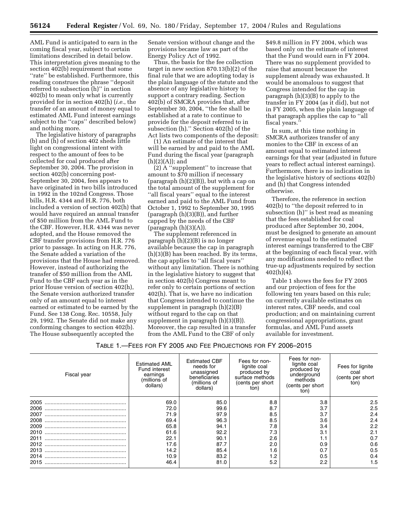AML Fund is anticipated to earn in the coming fiscal year, subject to certain limitations described in detail below. This interpretation gives meaning to the section 402(b) requirement that some ''rate'' be established. Furthermore, this reading construes the phrase ''deposit referred to subsection (h)'' in section 402(b) to mean only what is currently provided for in section 402(h) (*i.e.*, the transfer of an amount of money equal to estimated AML Fund interest earnings subject to the ''caps'' described below) and nothing more.

The legislative history of paragraphs (b) and (h) of section 402 sheds little light on congressional intent with respect to the amount of fees to be collected for coal produced after September 30, 2004. The provision in section 402(b) concerning post-September 30, 2004, fees appears to have originated in two bills introduced in 1992 in the 102nd Congress. Those bills, H.R. 4344 and H.R. 776, both included a version of section 402(h) that would have required an annual transfer of \$50 million from the AML Fund to the CBF. However, H.R. 4344 was never adopted, and the House removed the CBF transfer provisions from H.R. 776 prior to passage. In acting on H.R. 776, the Senate added a variation of the provisions that the House had removed. However, instead of authorizing the transfer of \$50 million from the AML Fund to the CBF each year as in the prior House version of section 402(h), the Senate version authorized transfer only of an amount equal to interest earned or estimated to be earned by the Fund. See 138 Cong. Rec. 10558, July 29, 1992. The Senate did not make any conforming changes to section 402(b). The House subsequently accepted the

Senate version without change and the provisions became law as part of the Energy Policy Act of 1992.

Thus, the basis for the fee collection target in new section 870.13(b)(2) of the final rule that we are adopting today is the plain language of the statute and the absence of any legislative history to support a contrary reading. Section 402(b) of SMCRA provides that, after September 30, 2004, ''the fee shall be established at a rate to continue to provide for the deposit referred to in subsection (h).'' Section 402(h) of the Act lists two components of the deposit:

(1) An estimate of the interest that will be earned by and paid to the AML Fund during the fiscal year (paragraph (h)(2)(A)); and

(2) A ''supplement'' to increase that amount to \$70 million if necessary (paragraph  $(h)(2)(B)$ ), but with a cap on the total amount of the supplement for ''all fiscal years'' equal to the interest earned and paid to the AML Fund from October 1, 1992 to September 30, 1995 (paragraph (h)(3)(B)), and further capped by the needs of the CBF  $(paragraph(h)(3)(A)).$ 

The supplement referenced in paragraph (h)(2)(B) is no longer available because the cap in paragraph (h)(3)(B) has been reached. By its terms, the cap applies to ''all fiscal years'' without any limitation. There is nothing in the legislative history to suggest that in section 402(b) Congress meant to refer only to certain portions of section 402(h). That is, we have no indication that Congress intended to continue the supplement in paragraph (h)(2)(B) without regard to the cap on that supplement in paragraph (h)(3)(B)). Moreover, the cap resulted in a transfer from the AML Fund to the CBF of only

\$49.8 million in FY 2004, which was based only on the estimate of interest that the Fund would earn in FY 2004. There was no supplement provided to raise that amount because the supplement already was exhausted. It would be anomalous to suggest that Congress intended for the cap in paragraph (h)(3)(B) to apply to the transfer in FY 2004 (as it did), but not in FY 2005, when the plain language of that paragraph applies the cap to ''all fiscal years.''

In sum, at this time nothing in SMCRA authorizes transfer of any monies to the CBF in excess of an amount equal to estimated interest earnings for that year (adjusted in future years to reflect actual interest earnings). Furthermore, there is no indication in the legislative history of sections 402(b) and (h) that Congress intended otherwise.

Therefore, the reference in section 402(b) to ''the deposit referred to in subsection (h)'' is best read as meaning that the fees established for coal produced after September 30, 2004, must be designed to generate an amount of revenue equal to the estimated interest earnings transferred to the CBF at the beginning of each fiscal year, with any modifications needed to reflect the true-up adjustments required by section  $402(h)(4)$ .

Table 1 shows the fees for FY 2005 and our projection of fees for the following ten years based on this rule; on currently available estimates on interest rates, CBF needs, and coal production; and on maintaining current congressional appropriations, grant formulas, and AML Fund assets available for investment.

# TABLE 1.—FEES FOR FY 2005 AND FEE PROJECTIONS FOR FY 2006–2015

| Fiscal year | <b>Estimated AML</b><br>Fund interest<br>earnings<br>(millions of<br>dollars) | <b>Estimated CBF</b><br>needs for<br>unassigned<br>beneficiaries<br>(millions of<br>dollars) | Fees for non-<br>lignite coal<br>produced by<br>surface methods<br>(cents per short<br>ton) | Fees for non-<br>lignite coal<br>produced by<br>underground<br>methods<br>(cents per short<br>ton) | Fees for lignite<br>coal<br>(cents per short<br>ton) |
|-------------|-------------------------------------------------------------------------------|----------------------------------------------------------------------------------------------|---------------------------------------------------------------------------------------------|----------------------------------------------------------------------------------------------------|------------------------------------------------------|
| 2005        | 69.0                                                                          | 85.0                                                                                         | 8.8                                                                                         | 3.8                                                                                                | 2.5                                                  |
| 2006        | 72.0                                                                          | 99.6                                                                                         | 8.7                                                                                         | 3.7                                                                                                | 2.5                                                  |
| 2007        | 71.9                                                                          | 97.9                                                                                         | 8.5                                                                                         | 3.7                                                                                                | 2.4                                                  |
| 2008        | 69.4                                                                          | 96.3                                                                                         | 8.5                                                                                         | 3.6                                                                                                | 2.4                                                  |
| 2009        | 65.8                                                                          | 94.1                                                                                         | 7.8                                                                                         | 3.4                                                                                                | 2.2                                                  |
| 2010        | 61.6                                                                          | 92.2                                                                                         | 7.3                                                                                         | 3.1                                                                                                | 2.1                                                  |
| 2011        | 22.1                                                                          | 90.1                                                                                         | 2.6                                                                                         |                                                                                                    | 0.7                                                  |
| 2012        | 17.6                                                                          | 87.7                                                                                         | 2.0                                                                                         | 0.9                                                                                                | 0.6                                                  |
| 2013        | 14.2                                                                          | 85.4                                                                                         | 1.6                                                                                         | 0.7                                                                                                | 0.5                                                  |
| 2014        | 10.9                                                                          | 83.2                                                                                         | 1.2                                                                                         | 0.5                                                                                                | 0.4                                                  |
| 2015        | 46.4                                                                          | 81.0                                                                                         | 5.2                                                                                         | 2.2                                                                                                | 1.5                                                  |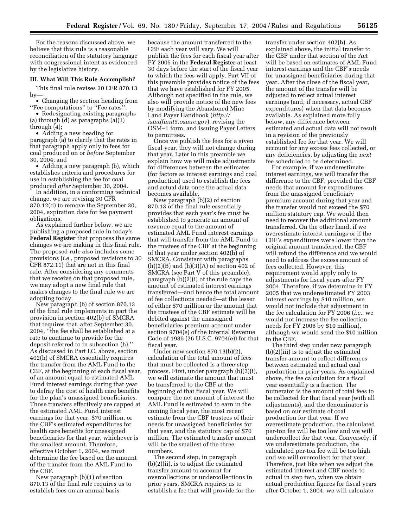For the reasons discussed above, we believe that this rule is a reasonable reconciliation of the statutory language with congressional intent as evidenced by the legislative history.

# **III. What Will This Rule Accomplish?**

This final rule revises 30 CFR 870.13 by—

• Changing the section heading from ''Fee computations'' to ''Fee rates'';

• Redesignating existing paragraphs (a) through (d) as paragraphs (a)(1) through (4);

• Adding a new heading for paragraph (a) to clarify that the rates in that paragraph apply only to fees for coal produced on or *before* September 30, 2004; and

• Adding a new paragraph (b), which establishes criteria and procedures for use in establishing the fee for coal produced *after* September 30, 2004.

In addition, in a conforming technical change, we are revising 30 CFR 870.12(d) to remove the September 30, 2004, expiration date for fee payment obligations.

As explained further below, we are publishing a proposed rule in today's **Federal Register** that proposes the same changes we are making in this final rule. The proposed rule also includes some provisions (*i.e.*, proposed revisions to 30 CFR 872.11) that are not in this final rule. After considering any comments that we receive on that proposed rule, we may adopt a new final rule that makes changes to the final rule we are adopting today.

New paragraph (b) of section 870.13 of the final rule implements in part the provision in section 402(b) of SMCRA that requires that, after September 30, 2004, ''the fee shall be established at a rate to continue to provide for the deposit referred to in subsection (h).'' As discussed in Part I.C. above, section 402(h) of SMCRA essentially requires the transfer from the AML Fund to the CBF, at the beginning of each fiscal year, of an amount equal to estimated AML Fund interest earnings during that year to defray the cost of health care benefits for the plan's unassigned beneficiaries. Those transfers effectively are capped at the estimated AML Fund interest earnings for that year, \$70 million, or the CBF's estimated expenditures for health care benefits for unassigned beneficiaries for that year, whichever is the smallest amount. Therefore, effective October 1, 2004, we must determine the fee based on the amount of the transfer from the AML Fund to the CBF.

New paragraph (b)(1) of section 870.13 of the final rule requires us to establish fees on an annual basis

because the amount transferred to the CBF each year will vary. We will publish the fees for each fiscal year after FY 2005 in the **Federal Register** at least 30 days before the start of the fiscal year to which the fees will apply. Part VII of this preamble provides notice of the fees that we have established for FY 2005. Although not specified in the rule, we also will provide notice of the new fees by modifying the Abandoned Mine Land Payer Handbook (*http:// ismdfmnt5.osmre.gov*), revising the OSM–1 form, and issuing Payer Letters to permittees.

Once we publish the fees for a given fiscal year, they will not change during that year. Later in this preamble we explain how we will make adjustments for differences between the estimates (for factors as interest earnings and coal production) used to establish the fees and actual data once the actual data becomes available.

New paragraph (b)(2) of section 870.13 of the final rule essentially provides that each year's fee must be established to generate an amount of revenue equal to the amount of estimated AML Fund interest earnings that will transfer from the AML Fund to the trustees of the CBF at the beginning of that year under section 402(h) of SMCRA. Consistent with paragraphs  $(h)(2)(B)$  and  $(h)(3)(A)$  of section 402 of SMCRA (see Part V of this preamble), paragraph (b)(2)(i) of the rule caps the amount of estimated interest earnings transferred—and hence the total amount of fee collections needed—at the lesser of either \$70 million or the amount that the trustees of the CBF estimate will be debited against the unassigned beneficiaries premium account under section 9704(e) of the Internal Revenue Code of 1986 (26 U.S.C. 9704(e)) for that fiscal year.

Under new section 870.13(b)(2), calculation of the total amount of fees that must be collected is a three-step process. First, under paragraph (b)(2)(i), we will estimate the amount that must be transferred to the CBF at the beginning of that fiscal year. We will compare the net amount of interest the AML Fund is estimated to earn in the coming fiscal year, the most recent estimate from the CBF trustees of their needs for unassigned beneficiaries for that year, and the statutory cap of \$70 million. The estimated transfer amount will be the smallest of the three numbers.

The second step, in paragraph (b)(2)(ii), is to adjust the estimated transfer amount to account for overcollections or undercollections in prior years. SMCRA requires us to establish a fee that will provide for the

transfer under section 402(h). As explained above, the initial transfer to the CBF under that section of the Act will be based on estimates of AML Fund interest earnings and the CBF's needs for unassigned beneficiaries during that year. After the close of the fiscal year, the amount of the transfer will be adjusted to reflect actual interest earnings (and, if necessary, actual CBF expenditures) when that data becomes available. As explained more fully below, any difference between estimated and actual data will not result in a revision of the previously established fee for that year. We will account for any excess fees collected, or any deficiencies, by adjusting the *next* fee scheduled to be determined.

For example, if we underestimate interest earnings, we will transfer the difference to the CBF, provided the CBF needs that amount for expenditures from the unassigned beneficiary premium account during that year and the transfer would not exceed the \$70 million statutory cap. We would then need to recover the additional amount transferred. On the other hand, if we overestimate interest earnings or if the CBF's expenditures were lower than the original amount transferred, the CBF will refund the difference and we would need to address the excess amount of fees collected. However, this requirement would apply only to adjustments for fiscal years after FY 2004. Therefore, if we determine in FY 2005 that we underestimated FY 2003 interest earnings by \$10 million, we would not include that adjustment in the fee calculation for FY 2006 (*i.e.*, we would not increase the fee collection needs for FY 2006 by \$10 million), although we would send the \$10 million to the CBF.

The third step under new paragraph (b)(2)(iii) is to adjust the estimated transfer amount to reflect differences between estimated and actual coal production in prior years. As explained above, the fee calculation for a fiscal year essentially is a fraction. The numerator is the amount of total fees to be collected for that fiscal year (with all adjustments), and the denominator is based on our estimate of coal production for that year. If we overestimate production, the calculated per-ton fee will be too low and we will undercollect for that year. Conversely, if we underestimate production, the calculated per-ton fee will be too high and we will overcollect for that year. Therefore, just like when we adjust the estimated interest and CBF needs to actual in step two, when we obtain actual production figures for fiscal years after October 1, 2004, we will calculate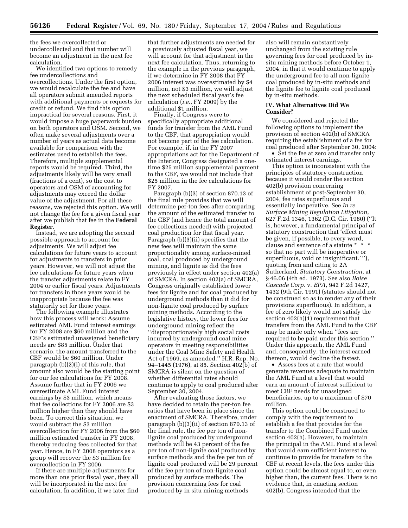the fees we overcollected or undercollected and that number will become an adjustment in the next fee calculation.

We identified two options to remedy fee undercollections and overcollections. Under the first option, we would recalculate the fee and have all operators submit amended reports with additional payments or requests for credit or refund. We find this option impractical for several reasons. First, it would impose a huge paperwork burden on both operators and OSM. Second, we often make several adjustments over a number of years as actual data become available for comparison with the estimates used to establish the fees. Therefore, multiple supplemental reports would be required. Third, the adjustments likely will be very small (fractions of a cent), so the cost to operators and OSM of accounting for adjustments may exceed the dollar value of the adjustment. For all these reasons, we rejected this option. We will not change the fee for a given fiscal year after we publish that fee in the **Federal Register**.

Instead, we are adopting the second possible approach to account for adjustments. We will adjust fee calculations for future years to account for adjustments to transfers in prior years. However, we will not adjust the fee calculations for future years when the transfer adjustments relate to FY 2004 or earlier fiscal years. Adjustments for transfers in those years would be inappropriate because the fee was statutorily set for those years.

The following example illustrates how this process will work: Assume estimated AML Fund interest earnings for FY 2008 are \$60 million and the CBF's estimated unassigned beneficiary needs are \$85 million. Under that scenario, the amount transferred to the CBF would be \$60 million. Under paragraph (b)(2)(i) of this rule, that amount also would be the starting point for our fee calculations for FY 2008. Assume further that in FY 2006 we overestimate AML Fund interest earnings by \$3 million, which means that fee collections for FY 2006 are \$3 million higher than they should have been. To correct this situation, we would subtract the \$3 million overcollection for FY 2006 from the \$60 million estimated transfer in FY 2008, thereby reducing fees collected for that year. Hence, in FY 2008 operators as a group will recover the \$3 million fee overcollection in FY 2006.

If there are multiple adjustments for more than one prior fiscal year, they all will be incorporated in the next fee calculation. In addition, if we later find

that further adjustments are needed for a previously adjusted fiscal year, we will account for that adjustment in the next fee calculation. Thus, returning to the example in the previous paragraph, if we determine in FY 2008 that FY 2006 interest was overestimated by \$4 million, not \$3 million, we will adjust the next scheduled fiscal year's fee calculation (*i.e.*, FY 2009) by the additional \$1 million.

Finally, if Congress were to specifically appropriate additional funds for transfer from the AML Fund to the CBF, that appropriation would not become part of the fee calculation. For example, if, in the FY 2007 appropriations act for the Department of the Interior, Congress designated a onetime \$25 million supplemental payment to the CBF, we would not include that \$25 million in the fee calculations for FY 2007.

Paragraph (b)(3) of section 870.13 of the final rule provides that we will determine per-ton fees after comparing the amount of the estimated transfer to the CBF (and hence the total amount of fee collections needed) with projected coal production for that fiscal year. Paragraph (b)(3)(ii) specifies that the new fees will maintain the same proportionality among surface-mined coal, coal produced by underground mining, and lignite as did the fees previously in effect under section 402(a) of SMCRA. In section 402(a) of SMCRA, Congress originally established lower fees for lignite and for coal produced by underground methods than it did for non-lignite coal produced by surface mining methods. According to the legislative history, the lower fees for underground mining reflect the ''disproportionately high social costs incurred by underground coal mine operators in meeting responsibilities under the Coal Mine Safety and Health Act of 1969, as amended.'' H.R. Rep. No. 94–1445 (1976), at 85. Section 402(b) of SMCRA is silent on the question of whether differential rates should continue to apply to coal produced after September 30, 2004.

After evaluating those factors, we have decided to retain the per-ton fee ratios that have been in place since the enactment of SMCRA. Therefore, under paragraph (b)(3)(ii) of section 870.13 of the final rule, the fee per ton of nonlignite coal produced by underground methods will be 43 percent of the fee per ton of non-lignite coal produced by surface methods and the fee per ton of lignite coal produced will be 29 percent of the fee per ton of non-lignite coal produced by surface methods. The provision concerning fees for coal produced by in situ mining methods

also will remain substantively unchanged from the existing rule governing fees for coal produced by insitu mining methods before October 1, 2004, in that it would continue to apply the underground fee to all non-lignite coal produced by in-situ methods and the lignite fee to lignite coal produced by in-situ methods.

# **IV. What Alternatives Did We Consider?**

We considered and rejected the following options to implement the provision of section 402(b) of SMCRA requiring the establishment of a fee for coal produced after September 30, 2004:

• Set the fee at zero and transfer only estimated interest earnings.

This option is inconsistent with the principles of statutory construction because it would render the section 402(b) provision concerning establishment of post-September 30, 2004, fee rates superfluous and essentially inoperative. See *In re Surface Mining Regulation Litigation*, 627 F.2d 1346, 1362 (D.C. Cir. 1980) (''It is, however, a fundamental principal of statutory construction that 'effect must be given, if possible, to every word, clause and sentence of a statute \* \* \* so that no part will be inoperative or superfluous, void or insignificant.' ''), quoting from and citing to 2A Sutherland, *Statutory Construction*, at § 46.06 (4th ed. 1973). See also *Boise Cascade Corp.* v. *EPA*, 942 F.2d 1427, 1432 (9th Cir. 1991) (statutes should not be construed so as to render any of their provisions superfluous). In addition, a fee of zero likely would not satisfy the section 402(h)(1) requirement that transfers from the AML Fund to the CBF may be made only when ''fees are required to be paid under this section.'' Under this approach, the AML Fund and, consequently, the interest earned thereon, would decline the fastest.

• Assess fees at a rate that would generate revenues adequate to maintain the AML Fund at a level that would earn an amount of interest sufficient to meet CBF needs for unassigned beneficiaries, up to a maximum of \$70 million.

This option could be construed to comply with the requirement to establish a fee that provides for the transfer to the Combined Fund under section 402(h). However, to maintain the principal in the AML Fund at a level that would earn sufficient interest to continue to provide for transfers to the CBF at recent levels, the fees under this option could be almost equal to, or even higher than, the current fees. There is no evidence that, in enacting section 402(b), Congress intended that the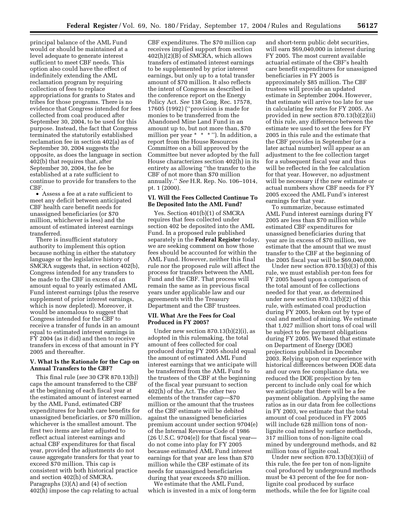principal balance of the AML Fund would or should be maintained at a level adequate to generate interest sufficient to meet CBF needs. This option also could have the effect of indefinitely extending the AML reclamation program by requiring collection of fees to replace appropriations for grants to States and tribes for those programs. There is no evidence that Congress intended for fees collected from coal produced after September 30, 2004, to be used for this purpose. Instead, the fact that Congress terminated the statutorily established reclamation fee in section 402(a) as of September 30, 2004 suggests the opposite, as does the language in section 402(b) that requires that, after September 30, 2004, the fee be established at a rate sufficient to continue to provide for transfers to the CBF.

• Assess a fee at a rate sufficient to meet any deficit between anticipated CBF health care benefit needs for unassigned beneficiaries (or \$70 million, whichever is less) and the amount of estimated interest earnings transferred.

There is insufficient statutory authority to implement this option because nothing in either the statutory language or the legislative history of SMCRA suggests that, in section 402(b), Congress intended for any transfers to be made to the CBF in excess of an amount equal to yearly estimated AML Fund interest earnings (plus the reserve supplement of prior interest earnings, which is now depleted). Moreover, it would be anomalous to suggest that Congress intended for the CBF to receive a transfer of funds in an amount equal to estimated interest earnings in FY 2004 (as it did) and then to receive transfers in excess of that amount in FY 2005 and thereafter.

### **V. What Is the Rationale for the Cap on Annual Transfers to the CBF?**

This final rule (*see* 30 CFR 870.13(b)) caps the amount transferred to the CBF at the beginning of each fiscal year at the estimated amount of interest earned by the AML Fund, estimated CBF expenditures for health care benefits for unassigned beneficiaries, or \$70 million, whichever is the smallest amount. The first two items are later adjusted to reflect actual interest earnings and actual CBF expenditures for that fiscal year, provided the adjustments do not cause aggregate transfers for that year to exceed \$70 million. This cap is consistent with both historical practice and section 402(h) of SMCRA. Paragraphs (3)(A) and (4) of section 402(h) impose the cap relating to actual

CBF expenditures. The \$70 million cap receives implied support from section 402(h)(2)(B) of SMCRA, which allows transfers of estimated interest earnings to be supplemented by prior interest earnings, but only up to a total transfer amount of \$70 million. It also reflects the intent of Congress as described in the conference report on the Energy Policy Act. *See* 138 Cong. Rec. 17578, 17605 (1992) (''provision is made for monies to be transferred from the Abandoned Mine Land Fund in an amount up to, but not more than, \$70 million per year \* \* \* ''). In addition, a report from the House Resources Committee on a bill approved by the Committee but never adopted by the full House characterizes section 402(h) in its entirety as allowing ''the transfer to the CBF of not more than \$70 million annually.'' *See* H.R. Rep. No. 106–1014, pt. 1 (2000).

#### **VI. Will the Fees Collected Continue To Be Deposited Into the AML Fund?**

Yes. Section 401(b)(1) of SMCRA requires that fees collected under section 402 be deposited into the AML Fund. In a proposed rule published separately in the **Federal Register** today, we are seeking comment on how those fees should be accounted for within the AML Fund. However, neither this final rule nor the proposed rule will affect the process for transfers between the AML Fund and the CBF. That process will remain the same as in previous fiscal years under applicable law and our agreements with the Treasury Department and the CBF trustees.

#### **VII. What Are the Fees for Coal Produced in FY 2005?**

Under new section  $870.13(b)(2)(i)$ , as adopted in this rulemaking, the total amount of fees collected for coal produced during FY 2005 should equal the amount of estimated AML Fund interest earnings that we anticipate will be transferred from the AML Fund to the trustees of the CBF at the beginning of the fiscal year pursuant to section 402(h) of the Act. The other two elements of the transfer cap—\$70 million or the amount that the trustees of the CBF estimate will be debited against the unassigned beneficiaries premium account under section 9704(e) of the Internal Revenue Code of 1986  $(26 \text{ U.S.C. } 9704(e))$  for that fiscal year do not come into play for FY 2005 because estimated AML Fund interest earnings for that year are less than \$70 million while the CBF estimate of its needs for unassigned beneficiaries during that year exceeds \$70 million.

We estimate that the AML Fund, which is invested in a mix of long-term and short-term public debt securities, will earn \$69,040,000 in interest during FY 2005. The most current available actuarial estimate of the CBF's health care benefit expenditures for unassigned beneficiaries in FY 2005 is approximately \$85 million. The CBF trustees will provide an updated estimate in September 2004. However, that estimate will arrive too late for use in calculating fee rates for FY 2005. As provided in new section 870.13(b)(2)(ii) of this rule, any difference between the estimate we used to set the fees for FY 2005 in this rule and the estimate that the CBF provides in September (or a later actual number) will appear as an adjustment to the fee collection target for a subsequent fiscal year and thus will be reflected in the fee calculation for that year. However, no adjustment will be necessary if the new estimate or actual numbers show CBF needs for FY 2005 exceed the AML Fund's interest earnings for that year.

To summarize, because estimated AML Fund interest earnings during FY 2005 are less than \$70 million while estimated CBF expenditures for unassigned beneficiaries during that year are in excess of \$70 million, we estimate that the amount that we must transfer to the CBF at the beginning of the 2005 fiscal year will be \$69,040,000.

Under new section 870.13(b)(3) of this rule, we must establish per-ton fees for FY 2005 based upon a comparison of the total amount of fee collections needed for that year, as determined under new section 870.13(b)(2) of this rule, with estimated coal production during FY 2005, broken out by type of coal and method of mining. We estimate that 1,027 million short tons of coal will be subject to fee payment obligations during FY 2005. We based that estimate on Department of Energy (DOE) projections published in December 2003. Relying upon our experience with historical differences between DOE data and our own fee compliance data, we reduced the DOE projection by ten percent to include only coal for which we anticipate that there will be a fee payment obligation. Applying the same ratios as in our data from fee collections in FY 2003, we estimate that the total amount of coal produced in FY 2005 will include 628 million tons of nonlignite coal mined by surface methods, 317 million tons of non-lignite coal mined by underground methods, and 82 million tons of lignite coal.

Under new section 870.13(b)(3)(ii) of this rule, the fee per ton of non-lignite coal produced by underground methods must be 43 percent of the fee for nonlignite coal produced by surface methods, while the fee for lignite coal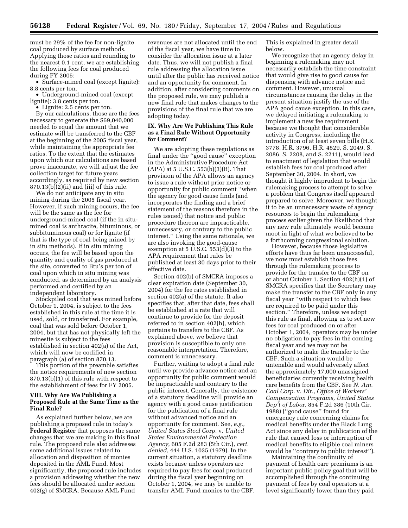must be 29% of the fee for non-lignite coal produced by surface methods. Applying those ratios and rounding to the nearest 0.1 cent, we are establishing the following fees for coal produced during FY 2005:

• Surface-mined coal (except lignite): 8.8 cents per ton.

• Underground-mined coal (except lignite): 3.8 cents per ton.

• Lignite: 2.5 cents per ton.

By our calculations, those are the fees necessary to generate the \$69,040,000 needed to equal the amount that we estimate will be transferred to the CBF at the beginning of the 2005 fiscal year, while maintaining the appropriate fee ratios. To the extent that the estimates upon which our calculations are based prove inaccurate, we will adjust the fee collection target for future years accordingly, as required by new section  $870.13(b)(2)(ii)$  and (iii) of this rule.

We do not anticipate any in situ mining during the 2005 fiscal year. However, if such mining occurs, the fee will be the same as the fee for underground-mined coal (if the in situmined coal is anthracite, bituminous, or subbituminous coal) or for lignite (if that is the type of coal being mined by in situ methods). If in situ mining occurs, the fee will be based upon the quantity and quality of gas produced at the site, converted to Btu's per ton of coal upon which in situ mining was conducted, as determined by an analysis performed and certified by an independent laboratory.

Stockpiled coal that was mined before October 1, 2004, is subject to the fees established in this rule at the time it is used, sold, or transferred. For example, coal that was sold before October 1, 2004, but that has not physically left the minesite is subject to the fees established in section 402(a) of the Act, which will now be codified in paragraph (a) of section 870.13.

This portion of the preamble satisfies the notice requirements of new section 870.13(b)(1) of this rule with respect to the establishment of fees for FY 2005.

# **VIII. Why Are We Publishing a Proposed Rule at the Same Time as the Final Rule?**

As explained further below, we are publishing a proposed rule in today's **Federal Register** that proposes the same changes that we are making in this final rule. The proposed rule also addresses some additional issues related to allocation and disposition of monies deposited in the AML Fund. Most significantly, the proposed rule includes a provision addressing whether the new fees should be allocated under section 402(g) of SMCRA. Because AML Fund

revenues are not allocated until the end of the fiscal year, we have time to consider the allocation issue at a later date. Thus, we will not publish a final rule addressing the allocation issue until after the public has received notice and an opportunity for comment. In addition, after considering comments on the proposed rule, we may publish a new final rule that makes changes to the provisions of the final rule that we are adopting today.

#### **IX. Why Are We Publishing This Rule as a Final Rule Without Opportunity for Comment?**

We are adopting these regulations as final under the ''good cause'' exception in the Administrative Procedure Act (APA) at 5 U.S.C. 553(b)(3)(B). That provision of the APA allows an agency to issue a rule without prior notice or opportunity for public comment ''when the agency for good cause finds (and incorporates the finding and a brief statement of the reasons therefore in the rules issued) that notice and public procedure thereon are impracticable, unnecessary, or contrary to the public interest.'' Using the same rationale, we are also invoking the good-cause exemption at 5 U.S.C. 553(d)(3) to the APA requirement that rules be published at least 30 days prior to their effective date.

Section 402(b) of SMCRA imposes a clear expiration date (September 30, 2004) for the fee rates established in section 402(a) of the statute. It also specifies that, after that date, fees shall be established at a rate that will continue to provide for the deposit referred to in section 402(h), which pertains to transfers to the CBF. As explained above, we believe that provision is susceptible to only one reasonable interpretation. Therefore, comment is unnecessary.

Further, waiting to adopt a final rule until we provide advance notice and an opportunity for public comment would be impracticable and contrary to the public interest. Generally, the existence of a statutory deadline will provide an agency with a good cause justification for the publication of a final rule without advanced notice and an opportunity for comment. See, *e.g.*, *United States Steel Corp.* v. *United States Environmental Protection Agency*, 605 F.2d 283 (5th Cir.), *cert. denied*, 444 U.S. 1035 (1979). In the current situation, a statutory deadline exists because unless operators are required to pay fees for coal produced during the fiscal year beginning on October 1, 2004, we may be unable to transfer AML Fund monies to the CBF.

This is explained in greater detail below.

We recognize that an agency delay in beginning a rulemaking may not necessarily establish the time constraint that would give rise to good cause for dispensing with advance notice and comment. However, unusual circumstances causing the delay in the present situation justify the use of the APA good cause exception. In this case, we delayed initiating a rulemaking to implement a new fee requirement because we thought that considerable activity in Congress, including the introduction of at least seven bills (H.R. 3778, H.R. 3796, H.R. 4529, S. 2049, S. 2086, S. 2208, and S. 2211), would lead to enactment of legislation that would establish fees for coal produced after September 30, 2004. In short, we thought it highly imprudent to begin the rulemaking process to attempt to solve a problem that Congress itself appeared prepared to solve. Moreover, we thought it to be an unnecessary waste of agency resources to begin the rulemaking process earlier given the likelihood that any new rule ultimately would become moot in light of what we believed to be a forthcoming congressional solution.

However, because those legislative efforts have thus far been unsuccessful, we now must establish those fees through the rulemaking process to provide for the transfer to the CBF on or about October 1. Section 402(h)(1) of SMCRA specifies that the Secretary may make the transfer to the CBF only in any fiscal year ''with respect to which fees are required to be paid under this section.'' Therefore, unless we adopt this rule as final, allowing us to set new fees for coal produced on or after October 1, 2004, operators may be under no obligation to pay fees in the coming fiscal year and we may not be authorized to make the transfer to the CBF. Such a situation would be untenable and would adversely affect the approximately 17,000 unassigned beneficiaries currently receiving health care benefits from the CBF. See *N. Am. Coal Corp.* v. *Dir., Office of Workers' Compensation Programs, United States Dep't of Labor*, 854 F.2d 386 (10th Cir. 1988) (''good cause'' found for emergency rule concerning claims for medical benefits under the Black Lung Act since any delay in publication of the rule that caused loss or interruption of medical benefits to eligible coal miners would be ''contrary to public interest'').

Maintaining the continuity of payment of health care premiums is an important public policy goal that will be accomplished through the continuing payment of fees by coal operators at a level significantly lower than they paid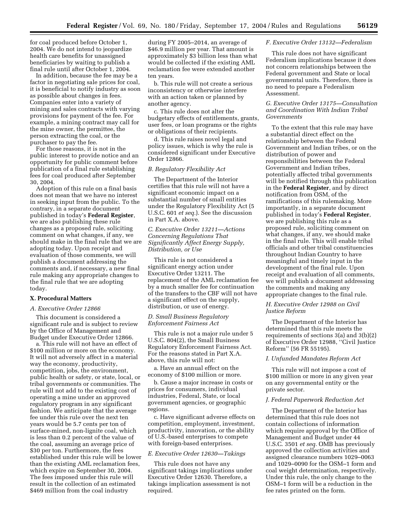for coal produced before October 1, 2004. We do not intend to jeopardize health care benefits for unassigned beneficiaries by waiting to publish a final rule until after October 1, 2004.

In addition, because the fee may be a factor in negotiating sale prices for coal, it is beneficial to notify industry as soon as possible about changes in fees. Companies enter into a variety of mining and sales contracts with varying provisions for payment of the fee. For example, a mining contract may call for the mine owner, the permittee, the person extracting the coal, or the purchaser to pay the fee.

For those reasons, it is not in the public interest to provide notice and an opportunity for public comment before publication of a final rule establishing fees for coal produced after September 30, 2004.

Adoption of this rule on a final basis does not mean that we have no interest in seeking input from the public. To the contrary, in a separate document published in today's **Federal Register**, we are also publishing these rule changes as a proposed rule, soliciting comment on what changes, if any, we should make in the final rule that we are adopting today. Upon receipt and evaluation of those comments, we will publish a document addressing the comments and, if necessary, a new final rule making any appropriate changes to the final rule that we are adopting today.

#### **X. Procedural Matters**

#### *A. Executive Order 12866*

This document is considered a significant rule and is subject to review by the Office of Management and Budget under Executive Order 12866.

a. This rule will not have an effect of \$100 million or more on the economy. It will not adversely affect in a material way the economy, productivity, competition, jobs, the environment, public health or safety, or state, local, or tribal governments or communities. The rule will not add to the existing cost of operating a mine under an approved regulatory program in any significant fashion. We anticipate that the average fee under this rule over the next ten years would be 5.7 cents per ton of surface-mined, non-lignite coal, which is less than 0.2 percent of the value of the coal, assuming an average price of \$30 per ton. Furthermore, the fees established under this rule will be lower than the existing AML reclamation fees, which expire on September 30, 2004. The fees imposed under this rule will result in the collection of an estimated \$469 million from the coal industry

during FY 2005–2014, an average of \$46.9 million per year. That amount is approximately \$3 billion less than what would be collected if the existing AML reclamation fee were extended another ten years.

b. This rule will not create a serious inconsistency or otherwise interfere with an action taken or planned by another agency.

c. This rule does not alter the budgetary effects of entitlements, grants, user fees, or loan programs or the rights or obligations of their recipients.

d. This rule raises novel legal and policy issues, which is why the rule is considered significant under Executive Order 12866.

#### *B. Regulatory Flexibility Act*

The Department of the Interior certifies that this rule will not have a significant economic impact on a substantial number of small entities under the Regulatory Flexibility Act (5 U.S.C. 601 *et seq.*). See the discussion in Part X.A. above.

# *C. Executive Order 13211—Actions Concerning Regulations That Significantly Affect Energy Supply, Distribution, or Use*

This rule is not considered a significant energy action under Executive Order 13211. The replacement of the AML reclamation fee by a much smaller fee for continuation of the transfers to the CBF will not have a significant effect on the supply, distribution, or use of energy.

#### *D. Small Business Regulatory Enforcement Fairness Act*

This rule is not a major rule under 5 U.S.C. 804(2), the Small Business Regulatory Enforcement Fairness Act. For the reasons stated in Part X.A. above, this rule will not:

a. Have an annual effect on the economy of \$100 million or more.

b. Cause a major increase in costs or prices for consumers, individual industries, Federal, State, or local government agencies, or geographic regions.

c. Have significant adverse effects on competition, employment, investment, productivity, innovation, or the ability of U.S.-based enterprises to compete with foreign-based enterprises.

# *E. Executive Order 12630—Takings*

This rule does not have any significant takings implications under Executive Order 12630. Therefore, a takings implication assessment is not required.

#### *F. Executive Order 13132—Federalism*

This rule does not have significant Federalism implications because it does not concern relationships between the Federal government and State or local governmental units. Therefore, there is no need to prepare a Federalism Assessment.

#### *G. Executive Order 13175—Consultation and Coordination With Indian Tribal Governments*

To the extent that this rule may have a substantial direct effect on the relationship between the Federal Government and Indian tribes, or on the distribution of power and responsibilities between the Federal Government and Indian tribes, potentially affected tribal governments will be notified through this publication in the **Federal Register**, and by direct notification from OSM, of the ramifications of this rulemaking. More importantly, in a separate document published in today's **Federal Register**, we are publishing this rule as a proposed rule, soliciting comment on what changes, if any, we should make in the final rule. This will enable tribal officials and other tribal constituencies throughout Indian Country to have meaningful and timely input in the development of the final rule. Upon receipt and evaluation of all comments, we will publish a document addressing the comments and making any appropriate changes to the final rule.

#### *H. Executive Order 12988 on Civil Justice Reform*

The Department of the Interior has determined that this rule meets the requirements of sections 3(a) and 3(b)(2) of Executive Order 12988, ''Civil Justice Reform'' (56 FR 55195).

#### *I. Unfunded Mandates Reform Act*

This rule will not impose a cost of \$100 million or more in any given year on any governmental entity or the private sector.

#### *J. Federal Paperwork Reduction Act*

The Department of the Interior has determined that this rule does not contain collections of information which require approval by the Office of Management and Budget under 44 U.S.C. 3501 *et seq.* OMB has previously approved the collection activities and assigned clearance numbers 1029–0063 and 1029–0090 for the OSM–1 form and coal weight determination, respectively. Under this rule, the only change to the OSM–1 form will be a reduction in the fee rates printed on the form.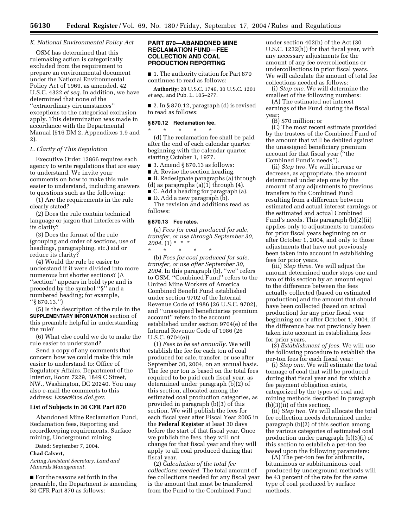#### *K. National Environmental Policy Act*

OSM has determined that this rulemaking action is categorically excluded from the requirement to prepare an environmental document under the National Environmental Policy Act of 1969, as amended, 42 U.S.C. 4332 *et seq.* In addition, we have determined that none of the ''extraordinary circumstances'' exceptions to the categorical exclusion apply. This determination was made in accordance with the Departmental Manual (516 DM 2, Appendixes 1.9 and 2).

# *L. Clarity of This Regulation*

Executive Order 12866 requires each agency to write regulations that are easy to understand. We invite your comments on how to make this rule easier to understand, including answers to questions such as the following:

(1) Are the requirements in the rule clearly stated?

(2) Does the rule contain technical language or jargon that interferes with its clarity?

(3) Does the format of the rule (grouping and order of sections, use of headings, paragraphing, etc.) aid or reduce its clarity?

(4) Would the rule be easier to understand if it were divided into more numerous but shorter sections? (A ''section'' appears in bold type and is preceded by the symbol ''§'' and a numbered heading; for example, ''§ 870.13.'')

(5) Is the description of the rule in the **SUPPLEMENTARY INFORMATION** section of this preamble helpful in understanding the rule?

(6) What else could we do to make the rule easier to understand?

Send a copy of any comments that concern how we could make this rule easier to understand to: Office of Regulatory Affairs, Department of the Interior, Room 7229, 1849 C Street, NW., Washington, DC 20240. You may also e-mail the comments to this address: *Exsec@ios.doi.gov*.

#### **List of Subjects in 30 CFR Part 870**

Abandoned Mine Reclamation Fund, Reclamation fees, Reporting and recordkeeping requirements, Surface mining, Underground mining.

Dated: September 7, 2004.

# **Chad Calvert,**

*Acting Assistant Secretary, Land and Minerals Management.*

■ For the reasons set forth in the preamble, the Department is amending 30 CFR Part 870 as follows:

# **PART 870—ABANDONED MINE RECLAMATION FUND—FEE COLLECTION AND COAL PRODUCTION REPORTING**

■ 1. The authority citation for Part 870 continues to read as follows:

**Authority:** 28 U.S.C. 1746, 30 U.S.C. 1201 *et seq.*, and Pub. L. 105–277.

■ 2. In § 870.12, paragraph (d) is revised to read as follows:

#### **§ 870.12 Reclamation fee.**

\* \* \* \* \* (d) The reclamation fee shall be paid after the end of each calendar quarter beginning with the calendar quarter starting October 1, 1977.

 $\blacksquare$  3. Amend § 870.13 as follows:

■ A. Revise the section heading.

■ B. Redesignate paragraphs (a) through

(d) as paragraphs (a)(1) through (4).

■ C. Add a heading for paragraph (a).

■ D. Add a new paragraph (b). The revision and additions read as

#### **§ 870.13 Fee rates.**

follows:

(a) *Fees for coal produced for sale, transfer, or use through September 30, 2004*. (1) \* \* \*

\* \* \* \* \* (b) *Fees for coal produced for sale, transfer, or use after September 30, 2004.* In this paragraph (b), ''we'' refers to OSM, ''Combined Fund'' refers to the United Mine Workers of America Combined Benefit Fund established under section 9702 of the Internal Revenue Code of 1986 (26 U.S.C. 9702), and ''unassigned beneficiaries premium account'' refers to the account established under section 9704(e) of the Internal Revenue Code of 1986 (26 U.S.C. 9704(e)).

(1) *Fees to be set annually.* We will establish the fee for each ton of coal produced for sale, transfer, or use after September 30, 2004, on an annual basis. The fee per ton is based on the total fees required to be paid each fiscal year, as determined under paragraph (b)(2) of this section, allocated among the estimated coal production categories, as provided in paragraph (b)(3) of this section. We will publish the fees for each fiscal year after Fiscal Year 2005 in the **Federal Register** at least 30 days before the start of that fiscal year. Once we publish the fees, they will not change for that fiscal year and they will apply to all coal produced during that fiscal year.

(2) *Calculation of the total fee collections needed.* The total amount of fee collections needed for any fiscal year is the amount that must be transferred from the Fund to the Combined Fund

under section 402(h) of the Act (30 U.S.C. 1232(h)) for that fiscal year, with any necessary adjustments for the amount of any fee overcollections or undercollections in prior fiscal years. We will calculate the amount of total fee collections needed as follows:

(i) *Step one.* We will determine the smallest of the following numbers:

(A) The estimated net interest earnings of the Fund during the fiscal year;

(B) \$70 million; or

(C) The most recent estimate provided by the trustees of the Combined Fund of the amount that will be debited against the unassigned beneficiary premium account for that fiscal year (''the Combined Fund's needs'').

(ii) *Step two.* We will increase or decrease, as appropriate, the amount determined under step one by the amount of any adjustments to previous transfers to the Combined Fund resulting from a difference between estimated and actual interest earnings or the estimated and actual Combined Fund's needs. This paragraph (b)(2)(ii) applies only to adjustments to transfers for prior fiscal years beginning on or after October 1, 2004, and only to those adjustments that have not previously been taken into account in establishing fees for prior years.

(iii) *Step three.* We will adjust the amount determined under steps one and two of this section by an amount equal to the difference between the fees actually collected (based on estimated production) and the amount that should have been collected (based on actual production) for any prior fiscal year beginning on or after October 1, 2004, if the difference has not previously been taken into account in establishing fees for prior years.

(3) *Establishment of fees.* We will use the following procedure to establish the per-ton fees for each fiscal year:

(i) *Step one.* We will estimate the total tonnage of coal that will be produced during that fiscal year and for which a fee payment obligation exists, categorized by the types of coal and mining methods described in paragraph (b)(3)(ii) of this section.

(ii) *Step two.* We will allocate the total fee collection needs determined under paragraph (b)(2) of this section among the various categories of estimated coal production under paragraph (b)(3)(i) of this section to establish a per-ton fee based upon the following parameters:

(A) The per-ton fee for anthracite, bituminous or subbituminous coal produced by underground methods will be 43 percent of the rate for the same type of coal produced by surface methods.